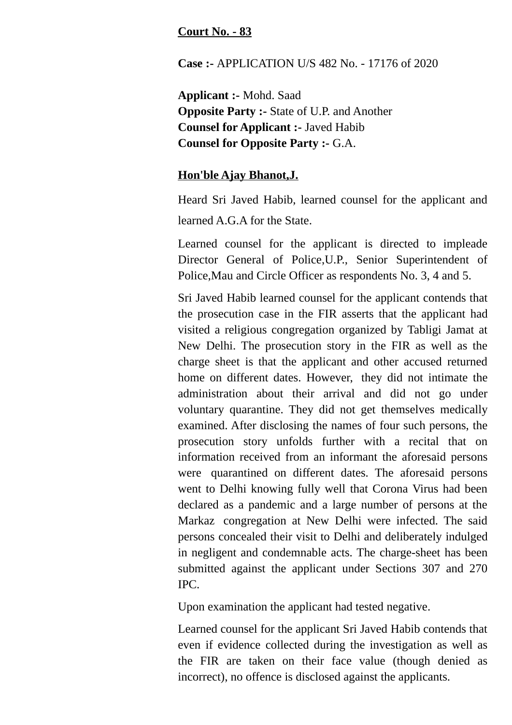## **Court No. - 83**

**Case :-** APPLICATION U/S 482 No. - 17176 of 2020

**Applicant :-** Mohd. Saad **Opposite Party :-** State of U.P. and Another **Counsel for Applicant :-** Javed Habib **Counsel for Opposite Party :-** G.A.

## **Hon'ble Ajay Bhanot,J.**

Heard Sri Javed Habib, learned counsel for the applicant and learned A.G.A for the State.

Learned counsel for the applicant is directed to impleade Director General of Police,U.P., Senior Superintendent of Police,Mau and Circle Officer as respondents No. 3, 4 and 5.

Sri Javed Habib learned counsel for the applicant contends that the prosecution case in the FIR asserts that the applicant had visited a religious congregation organized by Tabligi Jamat at New Delhi. The prosecution story in the FIR as well as the charge sheet is that the applicant and other accused returned home on different dates. However, they did not intimate the administration about their arrival and did not go under voluntary quarantine. They did not get themselves medically examined. After disclosing the names of four such persons, the prosecution story unfolds further with a recital that on information received from an informant the aforesaid persons were quarantined on different dates. The aforesaid persons went to Delhi knowing fully well that Corona Virus had been declared as a pandemic and a large number of persons at the Markaz congregation at New Delhi were infected. The said persons concealed their visit to Delhi and deliberately indulged in negligent and condemnable acts. The charge-sheet has been submitted against the applicant under Sections 307 and 270 IPC.

Upon examination the applicant had tested negative.

Learned counsel for the applicant Sri Javed Habib contends that even if evidence collected during the investigation as well as the FIR are taken on their face value (though denied as incorrect), no offence is disclosed against the applicants.